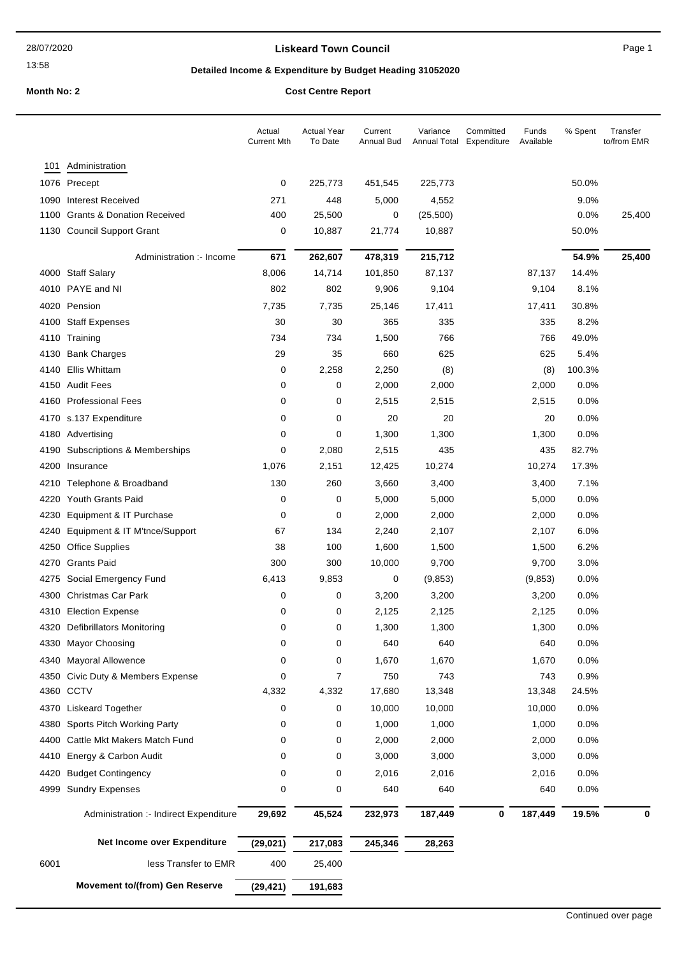#### **Liskeard Town Council Canadian Council** Page 1

## **Detailed Income & Expenditure by Budget Heading 31052020**

**Month No: 2 Cost Centre Report** 

| Administration<br>101<br>0<br>1076 Precept<br>225,773<br>451,545<br>225,773<br>50.0%<br><b>Interest Received</b><br>271<br>448<br>5,000<br>9.0%<br>1090<br>4,552<br><b>Grants &amp; Donation Received</b><br>400<br>25,500<br>0.0%<br>1100<br>0<br>(25,500)<br>1130 Council Support Grant<br>21,774<br>0<br>10,887<br>10,887<br>50.0%<br>215,712<br>54.9%<br>Administration :- Income<br>671<br>262,607<br>478,319<br>4000 Staff Salary<br>8,006<br>14,714<br>101,850<br>87,137<br>14.4%<br>87,137<br>4010 PAYE and NI<br>802<br>802<br>9,104<br>9,906<br>9,104<br>8.1%<br>4020 Pension<br>30.8%<br>7,735<br>7,735<br>25,146<br>17,411<br>17,411<br>4100 Staff Expenses<br>30<br>30<br>365<br>8.2%<br>335<br>335<br>734<br>734<br>1,500<br>766<br>766<br>49.0%<br>4110<br>Training<br>29<br>5.4%<br><b>Bank Charges</b><br>35<br>660<br>625<br>625<br>4130<br>Ellis Whittam<br>2,258<br>100.3%<br>4140<br>0<br>2,250<br>(8)<br>(8)<br>4150 Audit Fees<br>0<br>0<br>2,000<br>2,000<br>2,000<br>0.0%<br><b>Professional Fees</b><br>0<br>0<br>2,515<br>2,515<br>2,515<br>$0.0\%$<br>4160<br>4170 s.137 Expenditure<br>20<br>0.0%<br>0<br>0<br>20<br>20<br>0<br>0<br>1,300<br>1,300<br>1,300<br>0.0%<br>4180 Advertising<br>2,080<br>435<br>435<br>82.7%<br>Subscriptions & Memberships<br>0<br>2,515<br>4190<br>1,076<br>2,151<br>10,274<br>4200<br>Insurance<br>12,425<br>10,274<br>17.3%<br>Telephone & Broadband<br>130<br>260<br>7.1%<br>4210<br>3,660<br>3,400<br>3,400<br><b>Youth Grants Paid</b><br>$\mathbf 0$<br>0<br>5,000<br>5,000<br>0.0%<br>4220<br>5,000<br>Equipment & IT Purchase<br>$\mathbf 0$<br>0<br>2,000<br>2,000<br>0.0%<br>4230<br>2,000<br>Equipment & IT M'tnce/Support<br>134<br>6.0%<br>4240<br>67<br>2,240<br>2,107<br>2,107<br><b>Office Supplies</b><br>38<br>100<br>1,600<br>1,500<br>1,500<br>6.2%<br>4250<br><b>Grants Paid</b><br>300<br>300<br>10,000<br>3.0%<br>4270<br>9,700<br>9,700<br>0.0%<br>4275<br>Social Emergency Fund<br>6,413<br>9,853<br>0<br>(9, 853)<br>(9,853)<br>4300 Christmas Car Park<br>0.0%<br>0<br>0<br>3,200<br>3,200<br>3,200<br>0<br>0<br>0.0%<br><b>Election Expense</b><br>2,125<br>2,125<br>2,125<br>4310<br>4320<br>$\mathbf 0$<br>1,300<br>1,300<br>1,300<br>0.0%<br>Defibrillators Monitoring<br>0<br>4330 Mayor Choosing<br>0<br>640<br>640<br>640<br>0.0%<br>0<br>1,670<br><b>Mayoral Allowence</b><br>0<br>0<br>1,670<br>1,670<br>0.0%<br>4340<br>Civic Duty & Members Expense<br>0<br>7<br>750<br>743<br>743<br>0.9%<br>4350<br>4360 CCTV<br>4,332<br>4,332<br>17,680<br>13,348<br>13,348<br>24.5%<br><b>Liskeard Together</b><br>0<br>0<br>10,000<br>10,000<br>10,000<br>0.0%<br>4370<br>Sports Pitch Working Party<br>0<br>1,000<br>1,000<br>1,000<br>0.0%<br>4380<br>0<br>Cattle Mkt Makers Match Fund<br>0<br>2,000<br>2,000<br>2,000<br>0.0%<br>4400<br>0<br>Energy & Carbon Audit<br>0<br>3,000<br>3,000<br>3,000<br>0.0%<br>4410<br>0<br><b>Budget Contingency</b><br>0<br>2,016<br>2,016<br>2,016<br>0.0%<br>4420<br>0<br>0<br>0<br>640<br>640<br>640<br>0.0%<br>4999<br><b>Sundry Expenses</b><br>45,524<br>232,973<br>187,449<br>$\bf{0}$<br>187,449<br>19.5%<br>Administration :- Indirect Expenditure<br>29,692<br>0<br>Net Income over Expenditure<br>(29, 021)<br>217,083<br>245,346<br>28,263<br>6001<br>less Transfer to EMR<br>400<br>25,400 |  | Actual<br><b>Current Mth</b> | <b>Actual Year</b><br>To Date | Current<br>Annual Bud | Variance<br>Annual Total | Committed<br>Expenditure | Funds<br>Available | % Spent | Transfer<br>to/from EMR |
|--------------------------------------------------------------------------------------------------------------------------------------------------------------------------------------------------------------------------------------------------------------------------------------------------------------------------------------------------------------------------------------------------------------------------------------------------------------------------------------------------------------------------------------------------------------------------------------------------------------------------------------------------------------------------------------------------------------------------------------------------------------------------------------------------------------------------------------------------------------------------------------------------------------------------------------------------------------------------------------------------------------------------------------------------------------------------------------------------------------------------------------------------------------------------------------------------------------------------------------------------------------------------------------------------------------------------------------------------------------------------------------------------------------------------------------------------------------------------------------------------------------------------------------------------------------------------------------------------------------------------------------------------------------------------------------------------------------------------------------------------------------------------------------------------------------------------------------------------------------------------------------------------------------------------------------------------------------------------------------------------------------------------------------------------------------------------------------------------------------------------------------------------------------------------------------------------------------------------------------------------------------------------------------------------------------------------------------------------------------------------------------------------------------------------------------------------------------------------------------------------------------------------------------------------------------------------------------------------------------------------------------------------------------------------------------------------------------------------------------------------------------------------------------------------------------------------------------------------------------------------------------------------------------------------------------------------------------------------------------------------------------------------------------------------------------------------------------------------------------------------------------------------------------------------------------------------------------------------------------------------------------------------------------------------------------------------------------|--|------------------------------|-------------------------------|-----------------------|--------------------------|--------------------------|--------------------|---------|-------------------------|
|                                                                                                                                                                                                                                                                                                                                                                                                                                                                                                                                                                                                                                                                                                                                                                                                                                                                                                                                                                                                                                                                                                                                                                                                                                                                                                                                                                                                                                                                                                                                                                                                                                                                                                                                                                                                                                                                                                                                                                                                                                                                                                                                                                                                                                                                                                                                                                                                                                                                                                                                                                                                                                                                                                                                                                                                                                                                                                                                                                                                                                                                                                                                                                                                                                                                                                                                      |  |                              |                               |                       |                          |                          |                    |         |                         |
|                                                                                                                                                                                                                                                                                                                                                                                                                                                                                                                                                                                                                                                                                                                                                                                                                                                                                                                                                                                                                                                                                                                                                                                                                                                                                                                                                                                                                                                                                                                                                                                                                                                                                                                                                                                                                                                                                                                                                                                                                                                                                                                                                                                                                                                                                                                                                                                                                                                                                                                                                                                                                                                                                                                                                                                                                                                                                                                                                                                                                                                                                                                                                                                                                                                                                                                                      |  |                              |                               |                       |                          |                          |                    |         |                         |
|                                                                                                                                                                                                                                                                                                                                                                                                                                                                                                                                                                                                                                                                                                                                                                                                                                                                                                                                                                                                                                                                                                                                                                                                                                                                                                                                                                                                                                                                                                                                                                                                                                                                                                                                                                                                                                                                                                                                                                                                                                                                                                                                                                                                                                                                                                                                                                                                                                                                                                                                                                                                                                                                                                                                                                                                                                                                                                                                                                                                                                                                                                                                                                                                                                                                                                                                      |  |                              |                               |                       |                          |                          |                    |         |                         |
|                                                                                                                                                                                                                                                                                                                                                                                                                                                                                                                                                                                                                                                                                                                                                                                                                                                                                                                                                                                                                                                                                                                                                                                                                                                                                                                                                                                                                                                                                                                                                                                                                                                                                                                                                                                                                                                                                                                                                                                                                                                                                                                                                                                                                                                                                                                                                                                                                                                                                                                                                                                                                                                                                                                                                                                                                                                                                                                                                                                                                                                                                                                                                                                                                                                                                                                                      |  |                              |                               |                       |                          |                          |                    |         | 25,400                  |
|                                                                                                                                                                                                                                                                                                                                                                                                                                                                                                                                                                                                                                                                                                                                                                                                                                                                                                                                                                                                                                                                                                                                                                                                                                                                                                                                                                                                                                                                                                                                                                                                                                                                                                                                                                                                                                                                                                                                                                                                                                                                                                                                                                                                                                                                                                                                                                                                                                                                                                                                                                                                                                                                                                                                                                                                                                                                                                                                                                                                                                                                                                                                                                                                                                                                                                                                      |  |                              |                               |                       |                          |                          |                    |         |                         |
|                                                                                                                                                                                                                                                                                                                                                                                                                                                                                                                                                                                                                                                                                                                                                                                                                                                                                                                                                                                                                                                                                                                                                                                                                                                                                                                                                                                                                                                                                                                                                                                                                                                                                                                                                                                                                                                                                                                                                                                                                                                                                                                                                                                                                                                                                                                                                                                                                                                                                                                                                                                                                                                                                                                                                                                                                                                                                                                                                                                                                                                                                                                                                                                                                                                                                                                                      |  |                              |                               |                       |                          |                          |                    |         | 25,400                  |
|                                                                                                                                                                                                                                                                                                                                                                                                                                                                                                                                                                                                                                                                                                                                                                                                                                                                                                                                                                                                                                                                                                                                                                                                                                                                                                                                                                                                                                                                                                                                                                                                                                                                                                                                                                                                                                                                                                                                                                                                                                                                                                                                                                                                                                                                                                                                                                                                                                                                                                                                                                                                                                                                                                                                                                                                                                                                                                                                                                                                                                                                                                                                                                                                                                                                                                                                      |  |                              |                               |                       |                          |                          |                    |         |                         |
|                                                                                                                                                                                                                                                                                                                                                                                                                                                                                                                                                                                                                                                                                                                                                                                                                                                                                                                                                                                                                                                                                                                                                                                                                                                                                                                                                                                                                                                                                                                                                                                                                                                                                                                                                                                                                                                                                                                                                                                                                                                                                                                                                                                                                                                                                                                                                                                                                                                                                                                                                                                                                                                                                                                                                                                                                                                                                                                                                                                                                                                                                                                                                                                                                                                                                                                                      |  |                              |                               |                       |                          |                          |                    |         |                         |
|                                                                                                                                                                                                                                                                                                                                                                                                                                                                                                                                                                                                                                                                                                                                                                                                                                                                                                                                                                                                                                                                                                                                                                                                                                                                                                                                                                                                                                                                                                                                                                                                                                                                                                                                                                                                                                                                                                                                                                                                                                                                                                                                                                                                                                                                                                                                                                                                                                                                                                                                                                                                                                                                                                                                                                                                                                                                                                                                                                                                                                                                                                                                                                                                                                                                                                                                      |  |                              |                               |                       |                          |                          |                    |         |                         |
|                                                                                                                                                                                                                                                                                                                                                                                                                                                                                                                                                                                                                                                                                                                                                                                                                                                                                                                                                                                                                                                                                                                                                                                                                                                                                                                                                                                                                                                                                                                                                                                                                                                                                                                                                                                                                                                                                                                                                                                                                                                                                                                                                                                                                                                                                                                                                                                                                                                                                                                                                                                                                                                                                                                                                                                                                                                                                                                                                                                                                                                                                                                                                                                                                                                                                                                                      |  |                              |                               |                       |                          |                          |                    |         |                         |
|                                                                                                                                                                                                                                                                                                                                                                                                                                                                                                                                                                                                                                                                                                                                                                                                                                                                                                                                                                                                                                                                                                                                                                                                                                                                                                                                                                                                                                                                                                                                                                                                                                                                                                                                                                                                                                                                                                                                                                                                                                                                                                                                                                                                                                                                                                                                                                                                                                                                                                                                                                                                                                                                                                                                                                                                                                                                                                                                                                                                                                                                                                                                                                                                                                                                                                                                      |  |                              |                               |                       |                          |                          |                    |         |                         |
|                                                                                                                                                                                                                                                                                                                                                                                                                                                                                                                                                                                                                                                                                                                                                                                                                                                                                                                                                                                                                                                                                                                                                                                                                                                                                                                                                                                                                                                                                                                                                                                                                                                                                                                                                                                                                                                                                                                                                                                                                                                                                                                                                                                                                                                                                                                                                                                                                                                                                                                                                                                                                                                                                                                                                                                                                                                                                                                                                                                                                                                                                                                                                                                                                                                                                                                                      |  |                              |                               |                       |                          |                          |                    |         |                         |
|                                                                                                                                                                                                                                                                                                                                                                                                                                                                                                                                                                                                                                                                                                                                                                                                                                                                                                                                                                                                                                                                                                                                                                                                                                                                                                                                                                                                                                                                                                                                                                                                                                                                                                                                                                                                                                                                                                                                                                                                                                                                                                                                                                                                                                                                                                                                                                                                                                                                                                                                                                                                                                                                                                                                                                                                                                                                                                                                                                                                                                                                                                                                                                                                                                                                                                                                      |  |                              |                               |                       |                          |                          |                    |         |                         |
|                                                                                                                                                                                                                                                                                                                                                                                                                                                                                                                                                                                                                                                                                                                                                                                                                                                                                                                                                                                                                                                                                                                                                                                                                                                                                                                                                                                                                                                                                                                                                                                                                                                                                                                                                                                                                                                                                                                                                                                                                                                                                                                                                                                                                                                                                                                                                                                                                                                                                                                                                                                                                                                                                                                                                                                                                                                                                                                                                                                                                                                                                                                                                                                                                                                                                                                                      |  |                              |                               |                       |                          |                          |                    |         |                         |
|                                                                                                                                                                                                                                                                                                                                                                                                                                                                                                                                                                                                                                                                                                                                                                                                                                                                                                                                                                                                                                                                                                                                                                                                                                                                                                                                                                                                                                                                                                                                                                                                                                                                                                                                                                                                                                                                                                                                                                                                                                                                                                                                                                                                                                                                                                                                                                                                                                                                                                                                                                                                                                                                                                                                                                                                                                                                                                                                                                                                                                                                                                                                                                                                                                                                                                                                      |  |                              |                               |                       |                          |                          |                    |         |                         |
|                                                                                                                                                                                                                                                                                                                                                                                                                                                                                                                                                                                                                                                                                                                                                                                                                                                                                                                                                                                                                                                                                                                                                                                                                                                                                                                                                                                                                                                                                                                                                                                                                                                                                                                                                                                                                                                                                                                                                                                                                                                                                                                                                                                                                                                                                                                                                                                                                                                                                                                                                                                                                                                                                                                                                                                                                                                                                                                                                                                                                                                                                                                                                                                                                                                                                                                                      |  |                              |                               |                       |                          |                          |                    |         |                         |
|                                                                                                                                                                                                                                                                                                                                                                                                                                                                                                                                                                                                                                                                                                                                                                                                                                                                                                                                                                                                                                                                                                                                                                                                                                                                                                                                                                                                                                                                                                                                                                                                                                                                                                                                                                                                                                                                                                                                                                                                                                                                                                                                                                                                                                                                                                                                                                                                                                                                                                                                                                                                                                                                                                                                                                                                                                                                                                                                                                                                                                                                                                                                                                                                                                                                                                                                      |  |                              |                               |                       |                          |                          |                    |         |                         |
|                                                                                                                                                                                                                                                                                                                                                                                                                                                                                                                                                                                                                                                                                                                                                                                                                                                                                                                                                                                                                                                                                                                                                                                                                                                                                                                                                                                                                                                                                                                                                                                                                                                                                                                                                                                                                                                                                                                                                                                                                                                                                                                                                                                                                                                                                                                                                                                                                                                                                                                                                                                                                                                                                                                                                                                                                                                                                                                                                                                                                                                                                                                                                                                                                                                                                                                                      |  |                              |                               |                       |                          |                          |                    |         |                         |
|                                                                                                                                                                                                                                                                                                                                                                                                                                                                                                                                                                                                                                                                                                                                                                                                                                                                                                                                                                                                                                                                                                                                                                                                                                                                                                                                                                                                                                                                                                                                                                                                                                                                                                                                                                                                                                                                                                                                                                                                                                                                                                                                                                                                                                                                                                                                                                                                                                                                                                                                                                                                                                                                                                                                                                                                                                                                                                                                                                                                                                                                                                                                                                                                                                                                                                                                      |  |                              |                               |                       |                          |                          |                    |         |                         |
|                                                                                                                                                                                                                                                                                                                                                                                                                                                                                                                                                                                                                                                                                                                                                                                                                                                                                                                                                                                                                                                                                                                                                                                                                                                                                                                                                                                                                                                                                                                                                                                                                                                                                                                                                                                                                                                                                                                                                                                                                                                                                                                                                                                                                                                                                                                                                                                                                                                                                                                                                                                                                                                                                                                                                                                                                                                                                                                                                                                                                                                                                                                                                                                                                                                                                                                                      |  |                              |                               |                       |                          |                          |                    |         |                         |
|                                                                                                                                                                                                                                                                                                                                                                                                                                                                                                                                                                                                                                                                                                                                                                                                                                                                                                                                                                                                                                                                                                                                                                                                                                                                                                                                                                                                                                                                                                                                                                                                                                                                                                                                                                                                                                                                                                                                                                                                                                                                                                                                                                                                                                                                                                                                                                                                                                                                                                                                                                                                                                                                                                                                                                                                                                                                                                                                                                                                                                                                                                                                                                                                                                                                                                                                      |  |                              |                               |                       |                          |                          |                    |         |                         |
|                                                                                                                                                                                                                                                                                                                                                                                                                                                                                                                                                                                                                                                                                                                                                                                                                                                                                                                                                                                                                                                                                                                                                                                                                                                                                                                                                                                                                                                                                                                                                                                                                                                                                                                                                                                                                                                                                                                                                                                                                                                                                                                                                                                                                                                                                                                                                                                                                                                                                                                                                                                                                                                                                                                                                                                                                                                                                                                                                                                                                                                                                                                                                                                                                                                                                                                                      |  |                              |                               |                       |                          |                          |                    |         |                         |
|                                                                                                                                                                                                                                                                                                                                                                                                                                                                                                                                                                                                                                                                                                                                                                                                                                                                                                                                                                                                                                                                                                                                                                                                                                                                                                                                                                                                                                                                                                                                                                                                                                                                                                                                                                                                                                                                                                                                                                                                                                                                                                                                                                                                                                                                                                                                                                                                                                                                                                                                                                                                                                                                                                                                                                                                                                                                                                                                                                                                                                                                                                                                                                                                                                                                                                                                      |  |                              |                               |                       |                          |                          |                    |         |                         |
|                                                                                                                                                                                                                                                                                                                                                                                                                                                                                                                                                                                                                                                                                                                                                                                                                                                                                                                                                                                                                                                                                                                                                                                                                                                                                                                                                                                                                                                                                                                                                                                                                                                                                                                                                                                                                                                                                                                                                                                                                                                                                                                                                                                                                                                                                                                                                                                                                                                                                                                                                                                                                                                                                                                                                                                                                                                                                                                                                                                                                                                                                                                                                                                                                                                                                                                                      |  |                              |                               |                       |                          |                          |                    |         |                         |
|                                                                                                                                                                                                                                                                                                                                                                                                                                                                                                                                                                                                                                                                                                                                                                                                                                                                                                                                                                                                                                                                                                                                                                                                                                                                                                                                                                                                                                                                                                                                                                                                                                                                                                                                                                                                                                                                                                                                                                                                                                                                                                                                                                                                                                                                                                                                                                                                                                                                                                                                                                                                                                                                                                                                                                                                                                                                                                                                                                                                                                                                                                                                                                                                                                                                                                                                      |  |                              |                               |                       |                          |                          |                    |         |                         |
|                                                                                                                                                                                                                                                                                                                                                                                                                                                                                                                                                                                                                                                                                                                                                                                                                                                                                                                                                                                                                                                                                                                                                                                                                                                                                                                                                                                                                                                                                                                                                                                                                                                                                                                                                                                                                                                                                                                                                                                                                                                                                                                                                                                                                                                                                                                                                                                                                                                                                                                                                                                                                                                                                                                                                                                                                                                                                                                                                                                                                                                                                                                                                                                                                                                                                                                                      |  |                              |                               |                       |                          |                          |                    |         |                         |
|                                                                                                                                                                                                                                                                                                                                                                                                                                                                                                                                                                                                                                                                                                                                                                                                                                                                                                                                                                                                                                                                                                                                                                                                                                                                                                                                                                                                                                                                                                                                                                                                                                                                                                                                                                                                                                                                                                                                                                                                                                                                                                                                                                                                                                                                                                                                                                                                                                                                                                                                                                                                                                                                                                                                                                                                                                                                                                                                                                                                                                                                                                                                                                                                                                                                                                                                      |  |                              |                               |                       |                          |                          |                    |         |                         |
|                                                                                                                                                                                                                                                                                                                                                                                                                                                                                                                                                                                                                                                                                                                                                                                                                                                                                                                                                                                                                                                                                                                                                                                                                                                                                                                                                                                                                                                                                                                                                                                                                                                                                                                                                                                                                                                                                                                                                                                                                                                                                                                                                                                                                                                                                                                                                                                                                                                                                                                                                                                                                                                                                                                                                                                                                                                                                                                                                                                                                                                                                                                                                                                                                                                                                                                                      |  |                              |                               |                       |                          |                          |                    |         |                         |
|                                                                                                                                                                                                                                                                                                                                                                                                                                                                                                                                                                                                                                                                                                                                                                                                                                                                                                                                                                                                                                                                                                                                                                                                                                                                                                                                                                                                                                                                                                                                                                                                                                                                                                                                                                                                                                                                                                                                                                                                                                                                                                                                                                                                                                                                                                                                                                                                                                                                                                                                                                                                                                                                                                                                                                                                                                                                                                                                                                                                                                                                                                                                                                                                                                                                                                                                      |  |                              |                               |                       |                          |                          |                    |         |                         |
|                                                                                                                                                                                                                                                                                                                                                                                                                                                                                                                                                                                                                                                                                                                                                                                                                                                                                                                                                                                                                                                                                                                                                                                                                                                                                                                                                                                                                                                                                                                                                                                                                                                                                                                                                                                                                                                                                                                                                                                                                                                                                                                                                                                                                                                                                                                                                                                                                                                                                                                                                                                                                                                                                                                                                                                                                                                                                                                                                                                                                                                                                                                                                                                                                                                                                                                                      |  |                              |                               |                       |                          |                          |                    |         |                         |
|                                                                                                                                                                                                                                                                                                                                                                                                                                                                                                                                                                                                                                                                                                                                                                                                                                                                                                                                                                                                                                                                                                                                                                                                                                                                                                                                                                                                                                                                                                                                                                                                                                                                                                                                                                                                                                                                                                                                                                                                                                                                                                                                                                                                                                                                                                                                                                                                                                                                                                                                                                                                                                                                                                                                                                                                                                                                                                                                                                                                                                                                                                                                                                                                                                                                                                                                      |  |                              |                               |                       |                          |                          |                    |         |                         |
|                                                                                                                                                                                                                                                                                                                                                                                                                                                                                                                                                                                                                                                                                                                                                                                                                                                                                                                                                                                                                                                                                                                                                                                                                                                                                                                                                                                                                                                                                                                                                                                                                                                                                                                                                                                                                                                                                                                                                                                                                                                                                                                                                                                                                                                                                                                                                                                                                                                                                                                                                                                                                                                                                                                                                                                                                                                                                                                                                                                                                                                                                                                                                                                                                                                                                                                                      |  |                              |                               |                       |                          |                          |                    |         |                         |
|                                                                                                                                                                                                                                                                                                                                                                                                                                                                                                                                                                                                                                                                                                                                                                                                                                                                                                                                                                                                                                                                                                                                                                                                                                                                                                                                                                                                                                                                                                                                                                                                                                                                                                                                                                                                                                                                                                                                                                                                                                                                                                                                                                                                                                                                                                                                                                                                                                                                                                                                                                                                                                                                                                                                                                                                                                                                                                                                                                                                                                                                                                                                                                                                                                                                                                                                      |  |                              |                               |                       |                          |                          |                    |         |                         |
|                                                                                                                                                                                                                                                                                                                                                                                                                                                                                                                                                                                                                                                                                                                                                                                                                                                                                                                                                                                                                                                                                                                                                                                                                                                                                                                                                                                                                                                                                                                                                                                                                                                                                                                                                                                                                                                                                                                                                                                                                                                                                                                                                                                                                                                                                                                                                                                                                                                                                                                                                                                                                                                                                                                                                                                                                                                                                                                                                                                                                                                                                                                                                                                                                                                                                                                                      |  |                              |                               |                       |                          |                          |                    |         |                         |
|                                                                                                                                                                                                                                                                                                                                                                                                                                                                                                                                                                                                                                                                                                                                                                                                                                                                                                                                                                                                                                                                                                                                                                                                                                                                                                                                                                                                                                                                                                                                                                                                                                                                                                                                                                                                                                                                                                                                                                                                                                                                                                                                                                                                                                                                                                                                                                                                                                                                                                                                                                                                                                                                                                                                                                                                                                                                                                                                                                                                                                                                                                                                                                                                                                                                                                                                      |  |                              |                               |                       |                          |                          |                    |         |                         |
|                                                                                                                                                                                                                                                                                                                                                                                                                                                                                                                                                                                                                                                                                                                                                                                                                                                                                                                                                                                                                                                                                                                                                                                                                                                                                                                                                                                                                                                                                                                                                                                                                                                                                                                                                                                                                                                                                                                                                                                                                                                                                                                                                                                                                                                                                                                                                                                                                                                                                                                                                                                                                                                                                                                                                                                                                                                                                                                                                                                                                                                                                                                                                                                                                                                                                                                                      |  |                              |                               |                       |                          |                          |                    |         |                         |
|                                                                                                                                                                                                                                                                                                                                                                                                                                                                                                                                                                                                                                                                                                                                                                                                                                                                                                                                                                                                                                                                                                                                                                                                                                                                                                                                                                                                                                                                                                                                                                                                                                                                                                                                                                                                                                                                                                                                                                                                                                                                                                                                                                                                                                                                                                                                                                                                                                                                                                                                                                                                                                                                                                                                                                                                                                                                                                                                                                                                                                                                                                                                                                                                                                                                                                                                      |  |                              |                               |                       |                          |                          |                    |         |                         |
|                                                                                                                                                                                                                                                                                                                                                                                                                                                                                                                                                                                                                                                                                                                                                                                                                                                                                                                                                                                                                                                                                                                                                                                                                                                                                                                                                                                                                                                                                                                                                                                                                                                                                                                                                                                                                                                                                                                                                                                                                                                                                                                                                                                                                                                                                                                                                                                                                                                                                                                                                                                                                                                                                                                                                                                                                                                                                                                                                                                                                                                                                                                                                                                                                                                                                                                                      |  |                              |                               |                       |                          |                          |                    |         |                         |
|                                                                                                                                                                                                                                                                                                                                                                                                                                                                                                                                                                                                                                                                                                                                                                                                                                                                                                                                                                                                                                                                                                                                                                                                                                                                                                                                                                                                                                                                                                                                                                                                                                                                                                                                                                                                                                                                                                                                                                                                                                                                                                                                                                                                                                                                                                                                                                                                                                                                                                                                                                                                                                                                                                                                                                                                                                                                                                                                                                                                                                                                                                                                                                                                                                                                                                                                      |  |                              |                               |                       |                          |                          |                    |         |                         |
|                                                                                                                                                                                                                                                                                                                                                                                                                                                                                                                                                                                                                                                                                                                                                                                                                                                                                                                                                                                                                                                                                                                                                                                                                                                                                                                                                                                                                                                                                                                                                                                                                                                                                                                                                                                                                                                                                                                                                                                                                                                                                                                                                                                                                                                                                                                                                                                                                                                                                                                                                                                                                                                                                                                                                                                                                                                                                                                                                                                                                                                                                                                                                                                                                                                                                                                                      |  |                              |                               |                       |                          |                          |                    |         |                         |
|                                                                                                                                                                                                                                                                                                                                                                                                                                                                                                                                                                                                                                                                                                                                                                                                                                                                                                                                                                                                                                                                                                                                                                                                                                                                                                                                                                                                                                                                                                                                                                                                                                                                                                                                                                                                                                                                                                                                                                                                                                                                                                                                                                                                                                                                                                                                                                                                                                                                                                                                                                                                                                                                                                                                                                                                                                                                                                                                                                                                                                                                                                                                                                                                                                                                                                                                      |  |                              |                               |                       |                          |                          |                    |         |                         |
|                                                                                                                                                                                                                                                                                                                                                                                                                                                                                                                                                                                                                                                                                                                                                                                                                                                                                                                                                                                                                                                                                                                                                                                                                                                                                                                                                                                                                                                                                                                                                                                                                                                                                                                                                                                                                                                                                                                                                                                                                                                                                                                                                                                                                                                                                                                                                                                                                                                                                                                                                                                                                                                                                                                                                                                                                                                                                                                                                                                                                                                                                                                                                                                                                                                                                                                                      |  |                              |                               |                       |                          |                          |                    |         |                         |
| <b>Movement to/(from) Gen Reserve</b><br>(29, 421)<br>191,683                                                                                                                                                                                                                                                                                                                                                                                                                                                                                                                                                                                                                                                                                                                                                                                                                                                                                                                                                                                                                                                                                                                                                                                                                                                                                                                                                                                                                                                                                                                                                                                                                                                                                                                                                                                                                                                                                                                                                                                                                                                                                                                                                                                                                                                                                                                                                                                                                                                                                                                                                                                                                                                                                                                                                                                                                                                                                                                                                                                                                                                                                                                                                                                                                                                                        |  |                              |                               |                       |                          |                          |                    |         |                         |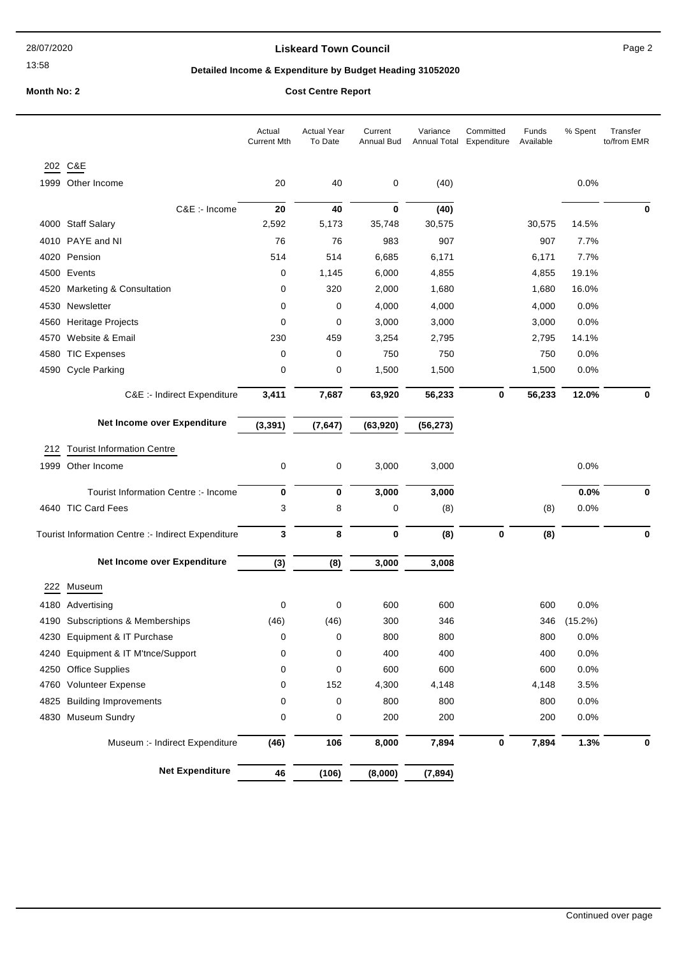#### **Liskeard Town Council Canadian Council** Page 2

## **Detailed Income & Expenditure by Budget Heading 31052020**

## **Month No: 2 Cost Centre Report**

|      |                                                    | Actual<br><b>Current Mth</b> | <b>Actual Year</b><br>To Date | Current<br>Annual Bud | Variance<br>Annual Total | Committed<br>Expenditure | Funds<br>Available | % Spent | Transfer<br>to/from EMR |
|------|----------------------------------------------------|------------------------------|-------------------------------|-----------------------|--------------------------|--------------------------|--------------------|---------|-------------------------|
|      | 202 C&E                                            |                              |                               |                       |                          |                          |                    |         |                         |
|      | 1999 Other Income                                  | 20                           | 40                            | 0                     | (40)                     |                          |                    | 0.0%    |                         |
|      | C&E :- Income                                      | 20                           | 40                            | $\bf{0}$              | (40)                     |                          |                    |         | 0                       |
|      | 4000 Staff Salary                                  | 2,592                        | 5,173                         | 35,748                | 30,575                   |                          | 30,575             | 14.5%   |                         |
|      | 4010 PAYE and NI                                   | 76                           | 76                            | 983                   | 907                      |                          | 907                | 7.7%    |                         |
| 4020 | Pension                                            | 514                          | 514                           | 6,685                 | 6,171                    |                          | 6,171              | 7.7%    |                         |
|      | 4500 Events                                        | 0                            | 1,145                         | 6,000                 | 4,855                    |                          | 4,855              | 19.1%   |                         |
| 4520 | Marketing & Consultation                           | 0                            | 320                           | 2,000                 | 1,680                    |                          | 1,680              | 16.0%   |                         |
| 4530 | Newsletter                                         | 0                            | 0                             | 4,000                 | 4,000                    |                          | 4,000              | 0.0%    |                         |
| 4560 | Heritage Projects                                  | 0                            | 0                             | 3,000                 | 3,000                    |                          | 3,000              | 0.0%    |                         |
| 4570 | Website & Email                                    | 230                          | 459                           | 3,254                 | 2,795                    |                          | 2,795              | 14.1%   |                         |
| 4580 | <b>TIC Expenses</b>                                | 0                            | 0                             | 750                   | 750                      |                          | 750                | 0.0%    |                         |
|      | 4590 Cycle Parking                                 | 0                            | 0                             | 1,500                 | 1,500                    |                          | 1,500              | 0.0%    |                         |
|      | C&E :- Indirect Expenditure                        | 3,411                        | 7,687                         | 63,920                | 56,233                   | 0                        | 56,233             | 12.0%   | 0                       |
|      | Net Income over Expenditure                        | (3, 391)                     | (7, 647)                      | (63, 920)             | (56, 273)                |                          |                    |         |                         |
| 212  | <b>Tourist Information Centre</b>                  |                              |                               |                       |                          |                          |                    |         |                         |
|      | 1999 Other Income                                  | 0                            | 0                             | 3,000                 | 3,000                    |                          |                    | 0.0%    |                         |
|      | Tourist Information Centre :- Income               | 0                            | 0                             | 3,000                 | 3,000                    |                          |                    | 0.0%    | 0                       |
|      | 4640 TIC Card Fees                                 | 3                            | 8                             | 0                     | (8)                      |                          | (8)                | 0.0%    |                         |
|      | Tourist Information Centre :- Indirect Expenditure | 3                            | 8                             | $\bf{0}$              | (8)                      | $\bf{0}$                 | (8)                |         | 0                       |
|      | Net Income over Expenditure                        | (3)                          | (8)                           | 3,000                 | 3,008                    |                          |                    |         |                         |
| 222  | Museum                                             |                              |                               |                       |                          |                          |                    |         |                         |
|      | 4180 Advertising                                   | 0                            | 0                             | 600                   | 600                      |                          | 600                | 0.0%    |                         |
|      | 4190 Subscriptions & Memberships                   | (46)                         | (46)                          | 300                   | 346                      |                          | 346                | (15.2%) |                         |
|      | 4230 Equipment & IT Purchase                       | 0                            | 0                             | 800                   | 800                      |                          | 800                | 0.0%    |                         |
| 4240 | Equipment & IT M'tnce/Support                      | 0                            | 0                             | 400                   | 400                      |                          | 400                | 0.0%    |                         |
|      | 4250 Office Supplies                               | 0                            | 0                             | 600                   | 600                      |                          | 600                | 0.0%    |                         |
|      | 4760 Volunteer Expense                             | 0                            | 152                           | 4,300                 | 4,148                    |                          | 4,148              | 3.5%    |                         |
|      | 4825 Building Improvements                         | 0                            | 0                             | 800                   | 800                      |                          | 800                | 0.0%    |                         |
|      | 4830 Museum Sundry                                 | 0                            | 0                             | 200                   | 200                      |                          | 200                | 0.0%    |                         |
|      | Museum :- Indirect Expenditure                     | (46)                         | 106                           | 8,000                 | 7,894                    | $\pmb{0}$                | 7,894              | 1.3%    | 0                       |
|      | <b>Net Expenditure</b>                             | 46                           | (106)                         | (8,000)               | (7, 894)                 |                          |                    |         |                         |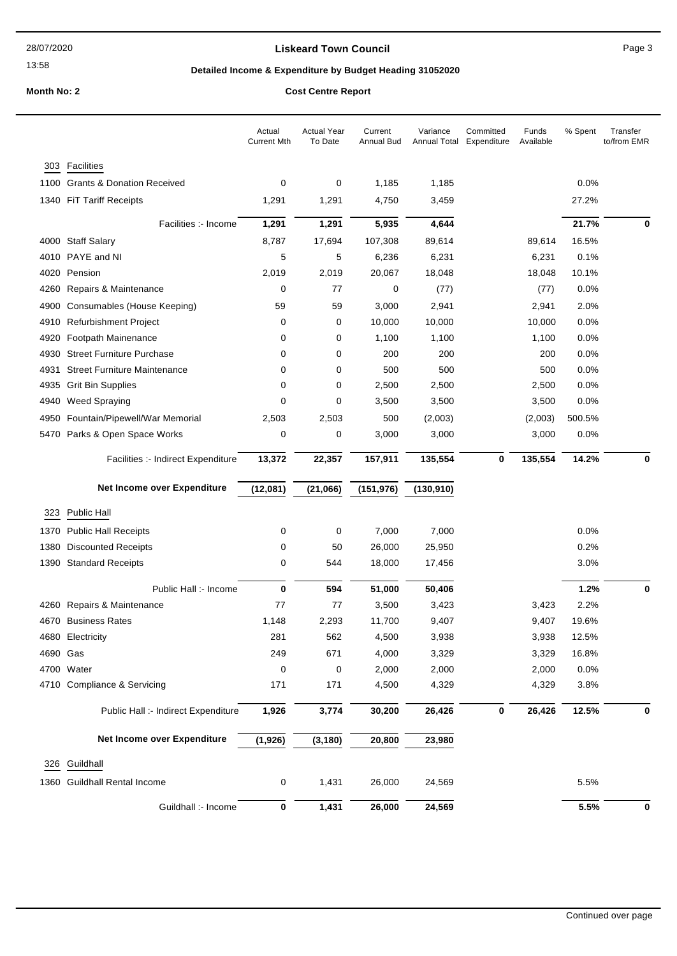#### **Liskeard Town Council Caucal** Council **Page 3**

## **Detailed Income & Expenditure by Budget Heading 31052020**

# **Month No: 2 Cost Centre R**

| <b>COST Centre Report</b> |  |
|---------------------------|--|
|                           |  |

|          |                                                                | Actual<br><b>Current Mth</b> | <b>Actual Year</b><br>To Date | Current<br>Annual Bud | Variance<br>Annual Total | Committed<br>Expenditure | Funds<br>Available | % Spent       | Transfer<br>to/from EMR |
|----------|----------------------------------------------------------------|------------------------------|-------------------------------|-----------------------|--------------------------|--------------------------|--------------------|---------------|-------------------------|
| 303      | Facilities                                                     |                              |                               |                       |                          |                          |                    |               |                         |
|          | 1100 Grants & Donation Received                                | 0                            | 0                             | 1,185                 | 1,185                    |                          |                    | 0.0%          |                         |
|          | 1340 FiT Tariff Receipts                                       | 1,291                        | 1,291                         | 4,750                 | 3,459                    |                          |                    | 27.2%         |                         |
|          | Facilities :- Income                                           | 1,291                        | 1,291                         | 5,935                 | 4,644                    |                          |                    | 21.7%         | 0                       |
|          |                                                                |                              |                               |                       |                          |                          |                    |               |                         |
|          | 4000 Staff Salary                                              | 8,787                        | 17,694                        | 107,308               | 89,614                   |                          | 89,614             | 16.5%         |                         |
|          | 4010 PAYE and NI<br>4020 Pension                               | 5<br>2,019                   | 5                             | 6,236<br>20,067       | 6,231                    |                          | 6,231              | 0.1%<br>10.1% |                         |
|          | 4260 Repairs & Maintenance                                     | 0                            | 2,019<br>77                   | 0                     | 18,048<br>(77)           |                          | 18,048<br>(77)     | 0.0%          |                         |
|          |                                                                | 59                           | 59                            |                       |                          |                          |                    | 2.0%          |                         |
|          | 4900 Consumables (House Keeping)<br>4910 Refurbishment Project | 0                            | 0                             | 3,000<br>10,000       | 2,941<br>10,000          |                          | 2,941<br>10,000    | 0.0%          |                         |
| 4920     | Footpath Mainenance                                            | 0                            | 0                             | 1,100                 | 1,100                    |                          | 1,100              | 0.0%          |                         |
|          | 4930 Street Furniture Purchase                                 | 0                            | 0                             | 200                   | 200                      |                          | 200                | 0.0%          |                         |
| 4931     | <b>Street Furniture Maintenance</b>                            | 0                            | 0                             | 500                   | 500                      |                          | 500                | 0.0%          |                         |
|          | 4935 Grit Bin Supplies                                         | 0                            | 0                             | 2,500                 | 2,500                    |                          | 2,500              | 0.0%          |                         |
|          | 4940 Weed Spraying                                             | 0                            | 0                             | 3,500                 | 3,500                    |                          | 3,500              | 0.0%          |                         |
|          | 4950 Fountain/Pipewell/War Memorial                            | 2,503                        | 2,503                         | 500                   | (2,003)                  |                          | (2,003)            | 500.5%        |                         |
|          | 5470 Parks & Open Space Works                                  | 0                            | 0                             | 3,000                 | 3,000                    |                          | 3,000              | 0.0%          |                         |
|          |                                                                |                              |                               |                       |                          |                          |                    |               |                         |
|          | Facilities :- Indirect Expenditure                             | 13,372                       | 22,357                        | 157,911               | 135,554                  | 0                        | 135,554            | 14.2%         | 0                       |
|          | Net Income over Expenditure                                    | (12,081)                     | (21,066)                      | (151, 976)            | (130, 910)               |                          |                    |               |                         |
| 323      | <b>Public Hall</b>                                             |                              |                               |                       |                          |                          |                    |               |                         |
|          | 1370 Public Hall Receipts                                      | 0                            | 0                             | 7,000                 | 7,000                    |                          |                    | 0.0%          |                         |
| 1380     | <b>Discounted Receipts</b>                                     | 0                            | 50                            | 26,000                | 25,950                   |                          |                    | 0.2%          |                         |
|          | 1390 Standard Receipts                                         | 0                            | 544                           | 18,000                | 17,456                   |                          |                    | 3.0%          |                         |
|          |                                                                |                              |                               |                       |                          |                          |                    |               |                         |
|          | Public Hall :- Income                                          | 0                            | 594                           | 51,000                | 50,406                   |                          |                    | 1.2%          | 0                       |
|          | 4260 Repairs & Maintenance                                     | 77                           | 77                            | 3,500                 | 3,423                    |                          | 3,423              | 2.2%          |                         |
|          | 4670 Business Rates                                            | 1,148                        | 2,293                         | 11,700                | 9,407                    |                          | 9,407              | 19.6%         |                         |
|          | 4680 Electricity                                               | 281                          | 562                           | 4,500                 | 3,938                    |                          | 3,938              | 12.5%         |                         |
| 4690 Gas |                                                                | 249                          | 671                           | 4,000                 | 3,329                    |                          | 3,329              | 16.8%         |                         |
|          | 4700 Water                                                     | 0                            | 0                             | 2,000                 | 2,000                    |                          | 2,000              | 0.0%          |                         |
|          | 4710 Compliance & Servicing                                    | 171                          | 171                           | 4,500                 | 4,329                    |                          | 4,329              | 3.8%          |                         |
|          | Public Hall :- Indirect Expenditure                            | 1,926                        | 3,774                         | 30,200                | 26,426                   | $\pmb{0}$                | 26,426             | 12.5%         | 0                       |
|          | Net Income over Expenditure                                    | (1,926)                      | (3, 180)                      | 20,800                | 23,980                   |                          |                    |               |                         |
|          | 326 Guildhall                                                  |                              |                               |                       |                          |                          |                    |               |                         |
|          |                                                                |                              |                               |                       |                          |                          |                    |               |                         |
|          | 1360 Guildhall Rental Income                                   | 0                            | 1,431                         | 26,000                | 24,569                   |                          |                    | 5.5%          |                         |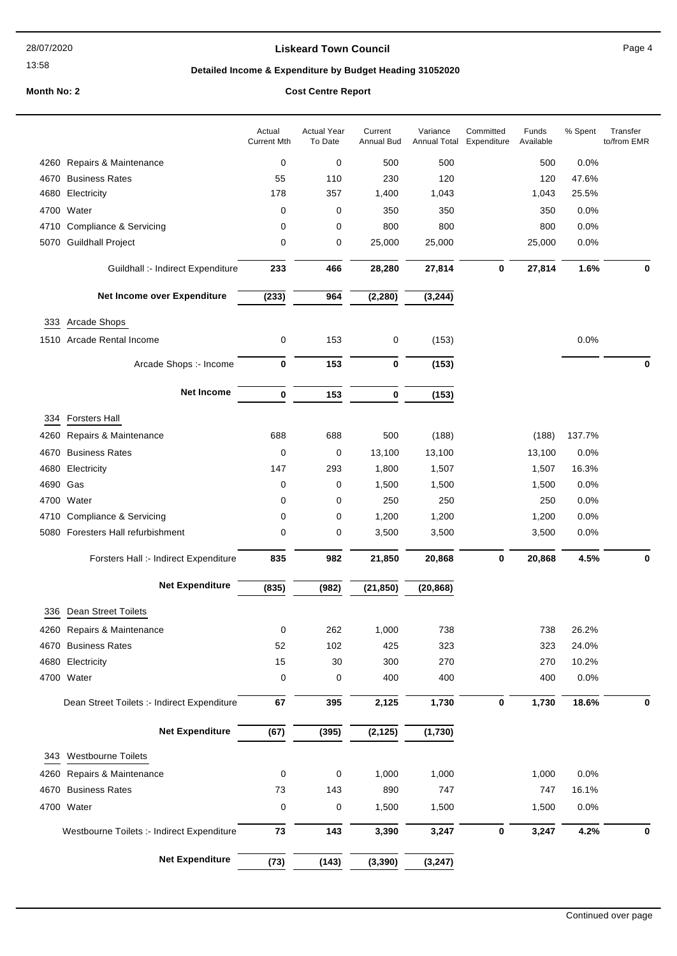#### **Liskeard Town Council Canadian Council** Page 4

## **Detailed Income & Expenditure by Budget Heading 31052020**

#### **Month No: 2 Cost Centre Report**

|          |                                             | Actual<br><b>Current Mth</b> | <b>Actual Year</b><br>To Date | Current<br>Annual Bud | Variance<br>Annual Total | Committed<br>Expenditure | Funds<br>Available | % Spent | Transfer<br>to/from EMR |
|----------|---------------------------------------------|------------------------------|-------------------------------|-----------------------|--------------------------|--------------------------|--------------------|---------|-------------------------|
|          | 4260 Repairs & Maintenance                  | 0                            | 0                             | 500                   | 500                      |                          | 500                | 0.0%    |                         |
| 4670     | <b>Business Rates</b>                       | 55                           | 110                           | 230                   | 120                      |                          | 120                | 47.6%   |                         |
| 4680     | Electricity                                 | 178                          | 357                           | 1,400                 | 1,043                    |                          | 1,043              | 25.5%   |                         |
|          | 4700 Water                                  | 0                            | 0                             | 350                   | 350                      |                          | 350                | 0.0%    |                         |
|          | 4710 Compliance & Servicing                 | 0                            | 0                             | 800                   | 800                      |                          | 800                | 0.0%    |                         |
|          | 5070 Guildhall Project                      | 0                            | 0                             | 25,000                | 25,000                   |                          | 25,000             | 0.0%    |                         |
|          |                                             |                              |                               |                       |                          |                          |                    |         |                         |
|          | Guildhall :- Indirect Expenditure           | 233                          | 466                           | 28,280                | 27,814                   | $\bf{0}$                 | 27,814             | 1.6%    | 0                       |
|          | Net Income over Expenditure                 | (233)                        | 964                           | (2, 280)              | (3, 244)                 |                          |                    |         |                         |
| 333      | Arcade Shops                                |                              |                               |                       |                          |                          |                    |         |                         |
|          | 1510 Arcade Rental Income                   | 0                            | 153                           | 0                     | (153)                    |                          |                    | 0.0%    |                         |
|          |                                             |                              |                               |                       |                          |                          |                    |         |                         |
|          | Arcade Shops :- Income                      | 0                            | 153                           | 0                     | (153)                    |                          |                    |         | 0                       |
|          | <b>Net Income</b>                           | $\bf{0}$                     | 153                           | 0                     | (153)                    |                          |                    |         |                         |
|          | 334 Forsters Hall                           |                              |                               |                       |                          |                          |                    |         |                         |
| 4260     | Repairs & Maintenance                       | 688                          | 688                           | 500                   | (188)                    |                          | (188)              | 137.7%  |                         |
| 4670     | <b>Business Rates</b>                       | 0                            | 0                             | 13,100                | 13,100                   |                          | 13,100             | 0.0%    |                         |
| 4680     | Electricity                                 | 147                          | 293                           | 1,800                 | 1,507                    |                          | 1,507              | 16.3%   |                         |
| 4690 Gas |                                             | 0                            | 0                             | 1,500                 | 1,500                    |                          | 1,500              | 0.0%    |                         |
|          | 4700 Water                                  | 0                            | 0                             | 250                   | 250                      |                          | 250                | 0.0%    |                         |
|          | 4710 Compliance & Servicing                 | 0                            | 0                             | 1,200                 | 1,200                    |                          | 1,200              | 0.0%    |                         |
|          | 5080 Foresters Hall refurbishment           | 0                            | 0                             | 3,500                 | 3,500                    |                          | 3,500              | 0.0%    |                         |
|          | Forsters Hall :- Indirect Expenditure       | 835                          | 982                           | 21,850                | 20,868                   | 0                        | 20,868             | 4.5%    | $\mathbf 0$             |
|          | <b>Net Expenditure</b>                      | (835)                        | (982)                         | (21, 850)             | (20, 868)                |                          |                    |         |                         |
|          |                                             |                              |                               |                       |                          |                          |                    |         |                         |
| 336      | Dean Street Toilets                         |                              |                               |                       |                          |                          |                    |         |                         |
|          | 4260 Repairs & Maintenance                  | $\Omega$                     | 262                           | 1,000                 | 738                      |                          | 738                | 26.2%   |                         |
|          | 4670 Business Rates                         | 52                           | 102                           | 425                   | 323                      |                          | 323                | 24.0%   |                         |
|          | 4680 Electricity                            | 15                           | 30                            | 300                   | 270                      |                          | 270                | 10.2%   |                         |
|          | 4700 Water                                  | 0                            | 0                             | 400                   | 400                      |                          | 400                | 0.0%    |                         |
|          | Dean Street Toilets :- Indirect Expenditure | 67                           | 395                           | 2,125                 | 1,730                    | $\bf{0}$                 | 1,730              | 18.6%   | 0                       |
|          | <b>Net Expenditure</b>                      | (67)                         | (395)                         | (2, 125)              | (1,730)                  |                          |                    |         |                         |
|          | 343 Westbourne Toilets                      |                              |                               |                       |                          |                          |                    |         |                         |
|          |                                             |                              |                               | 1,000                 | 1,000                    |                          | 1,000              | 0.0%    |                         |
|          | 4260 Repairs & Maintenance                  | 0                            | 0                             |                       |                          |                          |                    |         |                         |
|          | 4670 Business Rates                         | 73                           | 143                           | 890                   | 747                      |                          | 747                | 16.1%   |                         |
|          | 4700 Water                                  | 0                            | 0                             | 1,500                 | 1,500                    |                          | 1,500              | 0.0%    |                         |
|          | Westbourne Toilets :- Indirect Expenditure  | 73                           | 143                           | 3,390                 | 3,247                    | 0                        | 3,247              | 4.2%    | 0                       |
|          | <b>Net Expenditure</b>                      | (73)                         | (143)                         | (3, 390)              | (3, 247)                 |                          |                    |         |                         |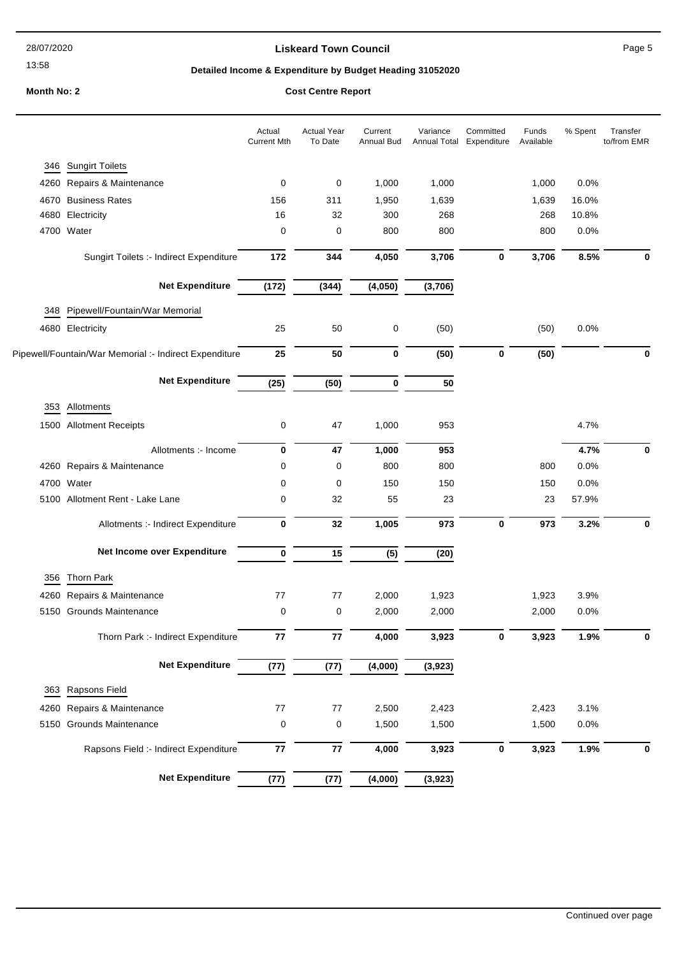#### **Liskeard Town Council Council Council Page 5**

#### **Detailed Income & Expenditure by Budget Heading 31052020**

**Month No: 2 Cost Centre Report**

## Actual Year To Date Current Annual Bud Variance Annual Total Expenditure Committed Funds Available Actual Current Mth % Spent Transfer to/from EMR 346 Sungirt Toilets 4260 Repairs & Maintenance 0 0 1,000 1,000 1,000 0.0% 4670 Business Rates 156 311 1,950 1,639 1,639 16.0% 4680 Electricity 16 32 300 268 268 10.8% 4700 Water 0 0 800 800 800 0.0% Sungirt Toilets :- Indirect Expenditure **172 344 4,050 3,706 0 3,706 8.5% 0 Net Expenditure (172) (344) (4,050) (3,706)** 348 Pipewell/Fountain/War Memorial 4680 Electricity 25 50 0 (50) (50) 0.0% Pipewell/Fountain/War Memorial :- Indirect Expenditure **25 50 0 (50) 0 (50) 0 Net Expenditure (25) (50) 0 50** 353 Allotments 1500 Allotment Receipts 0 47 1,000 953 4.7% Allotments :- Income **0 47 1,000 953 4.7% 0** 4260 Repairs & Maintenance 0 0 800 800 800 0.0% 4700 Water 0 0 150 150 150 0.0% 5100 Allotment Rent - Lake Lane 0 32 55 23 23 57.9% Allotments :- Indirect Expenditure **0 32 1,005 973 0 973 3.2% 0 Net Income over Expenditure 0 15 (5) (20)** 356 Thorn Park 4260 Repairs & Maintenance 2007 77 77 77 2,000 1,923 1,923 1,923 3.9% 5150 Grounds Maintenance 0 0 2,000 2,000 2,000 0.0% Thorn Park :- Indirect Expenditure **77 77 4,000 3,923 0 3,923 1.9% 0 Net Expenditure (77) (77) (4,000) (3,923)** 363 Rapsons Field 4260 Repairs & Maintenance 200 2,500 2,423 2,423 3,1% 5150 Grounds Maintenance 0 0 1,500 1,500 1,500 0.0% Rapsons Field :- Indirect Expenditure **77 77 4,000 3,923 0 3,923 1.9% 0 Net Expenditure (77) (77) (4,000) (3,923)**